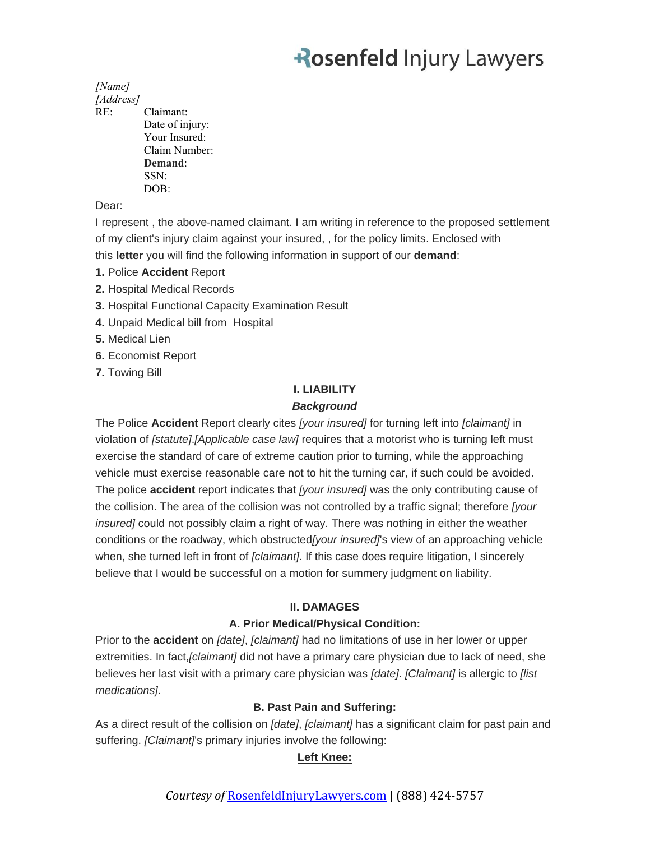### *[Name]*

*[Address]*

RE: Claimant: Date of injury: Your Insured: Claim Number: **Demand**: SSN: DOB:

Dear:

I represent , the above-named claimant. I am writing in reference to the proposed settlement of my client's injury claim against your insured, , for the policy limits. Enclosed with this **letter** you will find the following information in support of our **demand**:

- **1.** Police **Accident** Report
- **2.** Hospital Medical Records
- **3.** Hospital Functional Capacity Examination Result
- **4.** Unpaid Medical bill from Hospital
- **5.** Medical Lien
- **6.** Economist Report
- **7.** Towing Bill

### **I. LIABILITY**

### *Background*

The Police **Accident** Report clearly cites *[your insured]* for turning left into *[claimant]* in violation of *[statute]*.*[Applicable case law]* requires that a motorist who is turning left must exercise the standard of care of extreme caution prior to turning, while the approaching vehicle must exercise reasonable care not to hit the turning car, if such could be avoided. The police **accident** report indicates that *[your insured]* was the only contributing cause of the collision. The area of the collision was not controlled by a traffic signal; therefore *[your insured]* could not possibly claim a right of way. There was nothing in either the weather conditions or the roadway, which obstructed*[your insured]*'s view of an approaching vehicle when, she turned left in front of *[claimant]*. If this case does require litigation, I sincerely believe that I would be successful on a motion for summery judgment on liability.

### **II. DAMAGES**

### **A. Prior Medical/Physical Condition:**

Prior to the **accident** on *[date]*, *[claimant]* had no limitations of use in her lower or upper extremities. In fact,*[claimant]* did not have a primary care physician due to lack of need, she believes her last visit with a primary care physician was *[date]*. *[Claimant]* is allergic to *[list medications]*.

### **B. Past Pain and Suffering:**

As a direct result of the collision on *[date]*, *[claimant]* has a significant claim for past pain and suffering. *[Claimant]*'s primary injuries involve the following:

### **Left Knee:**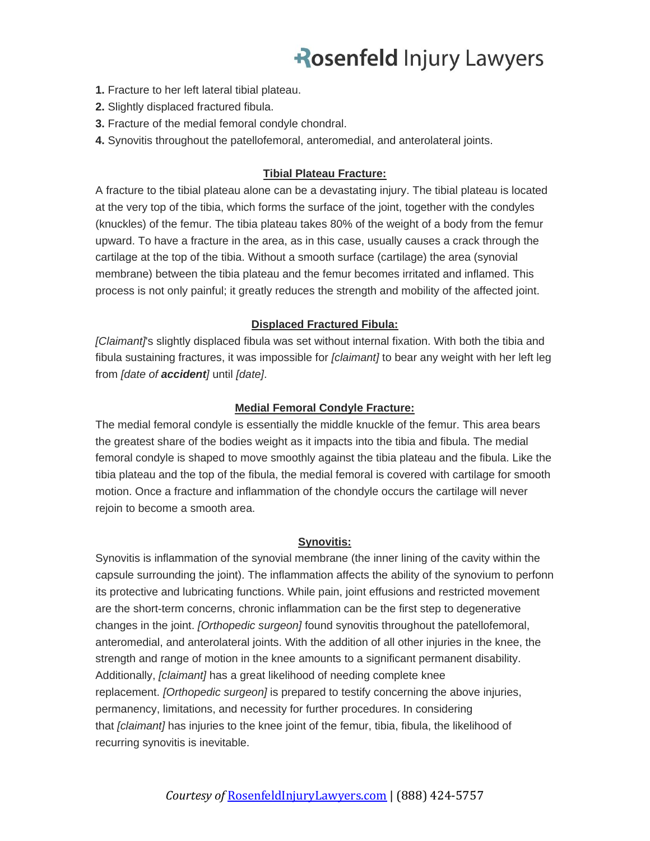- **1.** Fracture to her left lateral tibial plateau.
- **2.** Slightly displaced fractured fibula.
- **3.** Fracture of the medial femoral condyle chondral.
- **4.** Synovitis throughout the patellofemoral, anteromedial, and anterolateral joints.

#### **Tibial Plateau Fracture:**

A fracture to the tibial plateau alone can be a devastating injury. The tibial plateau is located at the very top of the tibia, which forms the surface of the joint, together with the condyles (knuckles) of the femur. The tibia plateau takes 80% of the weight of a body from the femur upward. To have a fracture in the area, as in this case, usually causes a crack through the cartilage at the top of the tibia. Without a smooth surface (cartilage) the area (synovial membrane) between the tibia plateau and the femur becomes irritated and inflamed. This process is not only painful; it greatly reduces the strength and mobility of the affected joint.

#### **Displaced Fractured Fibula:**

*[Claimant]*'s slightly displaced fibula was set without internal fixation. With both the tibia and fibula sustaining fractures, it was impossible for *[claimant]* to bear any weight with her left leg from *[date of accident]* until *[date]*.

#### **Medial Femoral Condyle Fracture:**

The medial femoral condyle is essentially the middle knuckle of the femur. This area bears the greatest share of the bodies weight as it impacts into the tibia and fibula. The medial femoral condyle is shaped to move smoothly against the tibia plateau and the fibula. Like the tibia plateau and the top of the fibula, the medial femoral is covered with cartilage for smooth motion. Once a fracture and inflammation of the chondyle occurs the cartilage will never rejoin to become a smooth area.

#### **Synovitis:**

Synovitis is inflammation of the synovial membrane (the inner lining of the cavity within the capsule surrounding the joint). The inflammation affects the ability of the synovium to perfonn its protective and lubricating functions. While pain, joint effusions and restricted movement are the short-term concerns, chronic inflammation can be the first step to degenerative changes in the joint. *[Orthopedic surgeon]* found synovitis throughout the patellofemoral, anteromedial, and anterolateral joints. With the addition of all other injuries in the knee, the strength and range of motion in the knee amounts to a significant permanent disability. Additionally, *[claimant]* has a great likelihood of needing complete knee replacement. *[Orthopedic surgeon]* is prepared to testify concerning the above injuries, permanency, limitations, and necessity for further procedures. In considering that *[claimant]* has injuries to the knee joint of the femur, tibia, fibula, the likelihood of recurring synovitis is inevitable.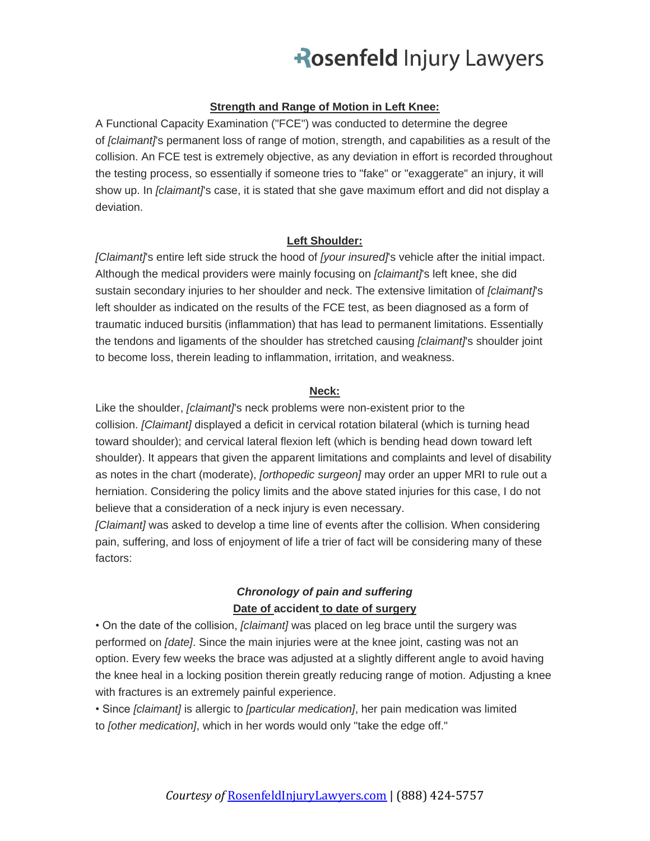#### **Strength and Range of Motion in Left Knee:**

A Functional Capacity Examination ("FCE") was conducted to determine the degree of *[claimant]*'s permanent loss of range of motion, strength, and capabilities as a result of the collision. An FCE test is extremely objective, as any deviation in effort is recorded throughout the testing process, so essentially if someone tries to "fake" or "exaggerate" an injury, it will show up. In *[claimant]*'s case, it is stated that she gave maximum effort and did not display a deviation.

#### **Left Shoulder:**

*[Claimant]*'s entire left side struck the hood of *[your insured]*'s vehicle after the initial impact. Although the medical providers were mainly focusing on *[claimant]*'s left knee, she did sustain secondary injuries to her shoulder and neck. The extensive limitation of *[claimant]*'s left shoulder as indicated on the results of the FCE test, as been diagnosed as a form of traumatic induced bursitis (inflammation) that has lead to permanent limitations. Essentially the tendons and ligaments of the shoulder has stretched causing *[claimant]*'s shoulder joint to become loss, therein leading to inflammation, irritation, and weakness.

#### **Neck:**

Like the shoulder, *[claimant]*'s neck problems were non-existent prior to the collision. *[Claimant]* displayed a deficit in cervical rotation bilateral (which is turning head toward shoulder); and cervical lateral flexion left (which is bending head down toward left shoulder). It appears that given the apparent limitations and complaints and level of disability as notes in the chart (moderate), *[orthopedic surgeon]* may order an upper MRI to rule out a herniation. Considering the policy limits and the above stated injuries for this case, I do not believe that a consideration of a neck injury is even necessary.

*[Claimant]* was asked to develop a time line of events after the collision. When considering pain, suffering, and loss of enjoyment of life a trier of fact will be considering many of these factors:

### *Chronology of pain and suffering* **Date of accident to date of surgery**

• On the date of the collision, *[claimant]* was placed on leg brace until the surgery was performed on *[date]*. Since the main injuries were at the knee joint, casting was not an option. Every few weeks the brace was adjusted at a slightly different angle to avoid having the knee heal in a locking position therein greatly reducing range of motion. Adjusting a knee with fractures is an extremely painful experience.

• Since *[claimant]* is allergic to *[particular medication]*, her pain medication was limited to *[other medication]*, which in her words would only "take the edge off."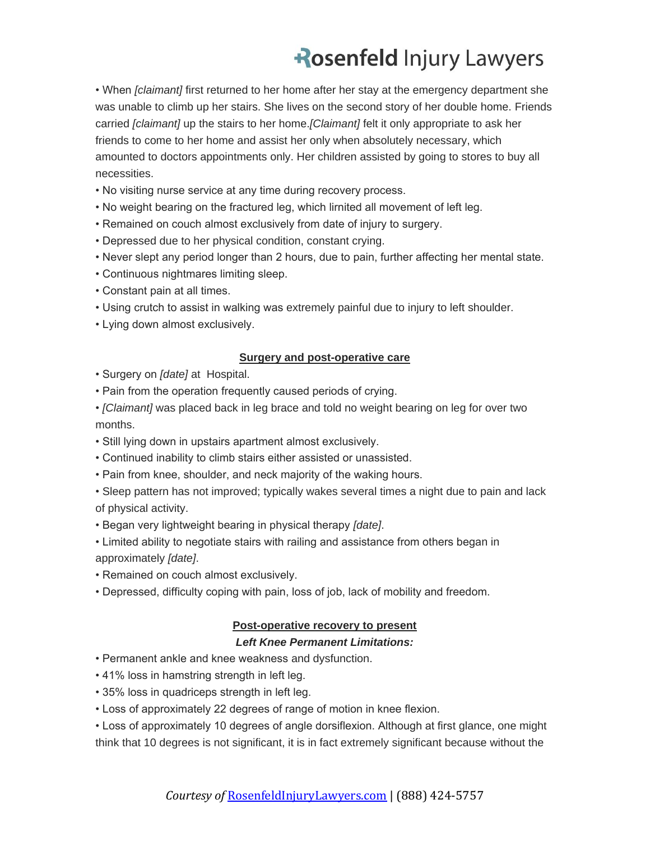• When *[claimant]* first returned to her home after her stay at the emergency department she was unable to climb up her stairs. She lives on the second story of her double home. Friends carried *[claimant]* up the stairs to her home.*[Claimant]* felt it only appropriate to ask her friends to come to her home and assist her only when absolutely necessary, which amounted to doctors appointments only. Her children assisted by going to stores to buy all necessities.

- No visiting nurse service at any time during recovery process.
- No weight bearing on the fractured leg, which lirnited all movement of left leg.
- Remained on couch almost exclusively from date of injury to surgery.
- Depressed due to her physical condition, constant crying.
- Never slept any period longer than 2 hours, due to pain, further affecting her mental state.
- Continuous nightmares limiting sleep.
- Constant pain at all times.
- Using crutch to assist in walking was extremely painful due to injury to left shoulder.
- Lying down almost exclusively.

#### **Surgery and post-operative care**

- Surgery on *[date]* at Hospital.
- Pain from the operation frequently caused periods of crying.
- *[Claimant]* was placed back in leg brace and told no weight bearing on leg for over two months.
- Still lying down in upstairs apartment almost exclusively.
- Continued inability to climb stairs either assisted or unassisted.
- Pain from knee, shoulder, and neck majority of the waking hours.
- Sleep pattern has not improved; typically wakes several times a night due to pain and lack of physical activity.
- Began very lightweight bearing in physical therapy *[date]*.
- Limited ability to negotiate stairs with railing and assistance from others began in approximately *[date]*.
- Remained on couch almost exclusively.
- Depressed, difficulty coping with pain, loss of job, lack of mobility and freedom.

#### **Post-operative recovery to present**

#### *Left Knee Permanent Limitations:*

- Permanent ankle and knee weakness and dysfunction.
- 41% loss in hamstring strength in left leg.
- 35% loss in quadriceps strength in left leg.
- Loss of approximately 22 degrees of range of motion in knee flexion.

• Loss of approximately 10 degrees of angle dorsiflexion. Although at first glance, one might think that 10 degrees is not significant, it is in fact extremely significant because without the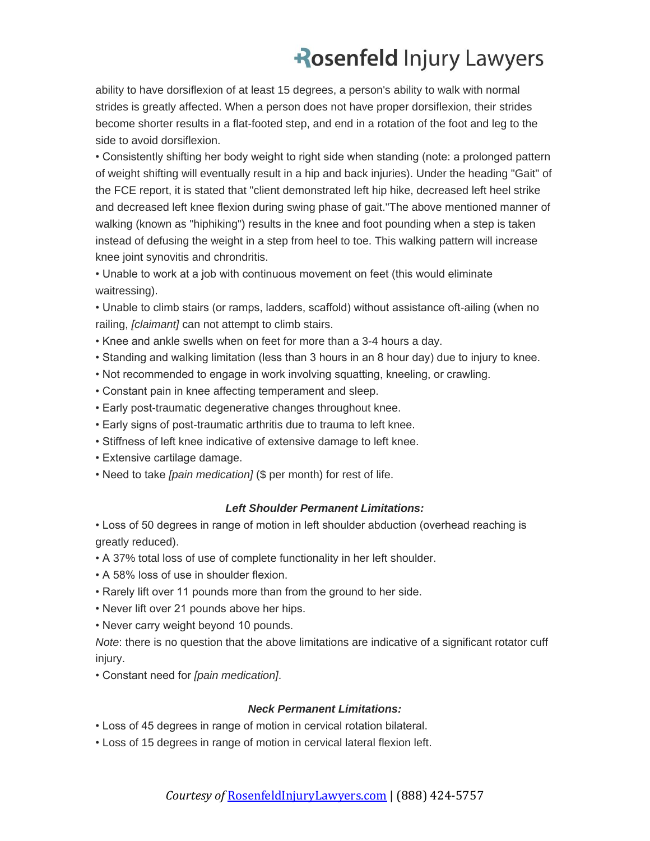ability to have dorsiflexion of at least 15 degrees, a person's ability to walk with normal strides is greatly affected. When a person does not have proper dorsiflexion, their strides become shorter results in a flat-footed step, and end in a rotation of the foot and leg to the side to avoid dorsiflexion.

• Consistently shifting her body weight to right side when standing (note: a prolonged pattern of weight shifting will eventually result in a hip and back injuries). Under the heading "Gait" of the FCE report, it is stated that "client demonstrated left hip hike, decreased left heel strike and decreased left knee flexion during swing phase of gait."The above mentioned manner of walking (known as "hiphiking") results in the knee and foot pounding when a step is taken instead of defusing the weight in a step from heel to toe. This walking pattern will increase knee joint synovitis and chrondritis.

• Unable to work at a job with continuous movement on feet (this would eliminate waitressing).

• Unable to climb stairs (or ramps, ladders, scaffold) without assistance oft-ailing (when no railing, *[claimant]* can not attempt to climb stairs.

- Knee and ankle swells when on feet for more than a 3-4 hours a day.
- Standing and walking limitation (less than 3 hours in an 8 hour day) due to injury to knee.
- Not recommended to engage in work involving squatting, kneeling, or crawling.
- Constant pain in knee affecting temperament and sleep.
- Early post-traumatic degenerative changes throughout knee.
- Early signs of post-traumatic arthritis due to trauma to left knee.
- Stiffness of left knee indicative of extensive damage to left knee.
- Extensive cartilage damage.
- Need to take *[pain medication]* (\$ per month) for rest of life.

#### *Left Shoulder Permanent Limitations:*

• Loss of 50 degrees in range of motion in left shoulder abduction (overhead reaching is greatly reduced).

- A 37% total loss of use of complete functionality in her left shoulder.
- A 58% loss of use in shoulder flexion.
- Rarely lift over 11 pounds more than from the ground to her side.
- Never lift over 21 pounds above her hips.
- Never carry weight beyond 10 pounds.

*Note*: there is no question that the above limitations are indicative of a significant rotator cuff injury.

• Constant need for *[pain medication]*.

#### *Neck Permanent Limitations:*

- Loss of 45 degrees in range of motion in cervical rotation bilateral.
- Loss of 15 degrees in range of motion in cervical lateral flexion left.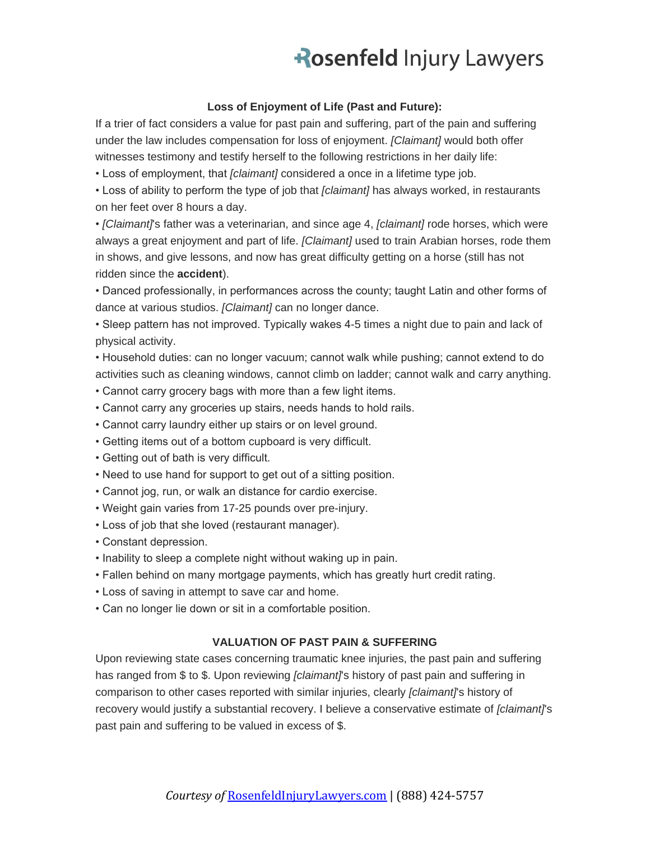#### **Loss of Enjoyment of Life (Past and Future):**

If a trier of fact considers a value for past pain and suffering, part of the pain and suffering under the law includes compensation for loss of enjoyment. *[Claimant]* would both offer witnesses testimony and testify herself to the following restrictions in her daily life:

• Loss of employment, that *[claimant]* considered a once in a lifetime type job.

• Loss of ability to perform the type of job that *[claimant]* has always worked, in restaurants on her feet over 8 hours a day.

• *[Claimant]*'s father was a veterinarian, and since age 4, *[claimant]* rode horses, which were always a great enjoyment and part of life. *[Claimant]* used to train Arabian horses, rode them in shows, and give lessons, and now has great difficulty getting on a horse (still has not ridden since the **accident**).

• Danced professionally, in performances across the county; taught Latin and other forms of dance at various studios. *[Claimant]* can no longer dance.

• Sleep pattern has not improved. Typically wakes 4-5 times a night due to pain and lack of physical activity.

• Household duties: can no longer vacuum; cannot walk while pushing; cannot extend to do activities such as cleaning windows, cannot climb on ladder; cannot walk and carry anything.

- Cannot carry grocery bags with more than a few light items.
- Cannot carry any groceries up stairs, needs hands to hold rails.
- Cannot carry laundry either up stairs or on level ground.
- Getting items out of a bottom cupboard is very difficult.
- Getting out of bath is very difficult.
- Need to use hand for support to get out of a sitting position.
- Cannot jog, run, or walk an distance for cardio exercise.
- Weight gain varies from 17-25 pounds over pre-injury.
- Loss of job that she loved (restaurant manager).
- Constant depression.
- Inability to sleep a complete night without waking up in pain.
- Fallen behind on many mortgage payments, which has greatly hurt credit rating.
- Loss of saving in attempt to save car and home.
- Can no longer lie down or sit in a comfortable position.

#### **VALUATION OF PAST PAIN & SUFFERING**

Upon reviewing state cases concerning traumatic knee injuries, the past pain and suffering has ranged from \$ to \$. Upon reviewing *[claimant]*'s history of past pain and suffering in comparison to other cases reported with similar injuries, clearly *[claimant]*'s history of recovery would justify a substantial recovery. I believe a conservative estimate of *[claimant]*'s past pain and suffering to be valued in excess of \$.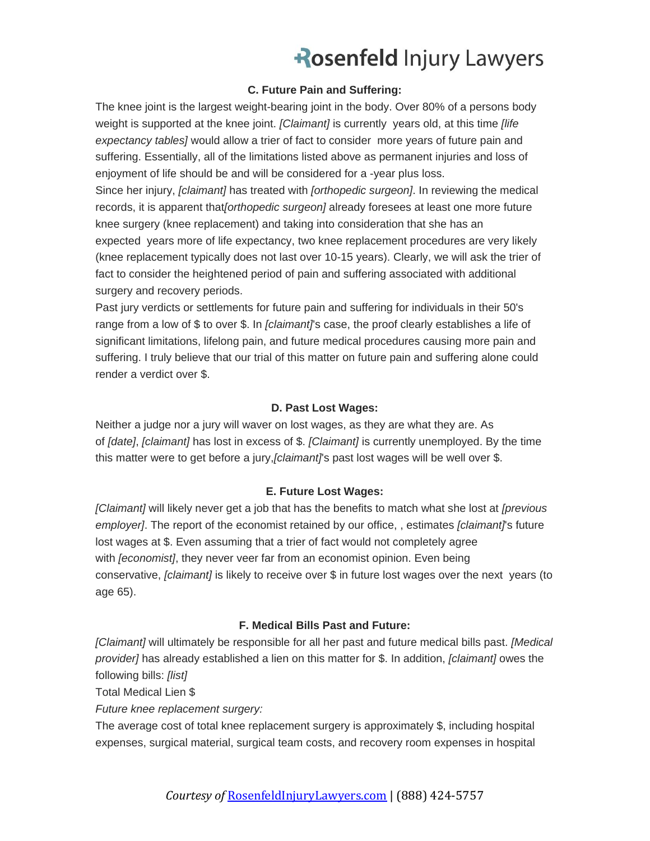#### **C. Future Pain and Suffering:**

The knee joint is the largest weight-bearing joint in the body. Over 80% of a persons body weight is supported at the knee joint. *[Claimant]* is currently years old, at this time *[life expectancy tables]* would allow a trier of fact to consider more years of future pain and suffering. Essentially, all of the limitations listed above as permanent injuries and loss of enjoyment of life should be and will be considered for a -year plus loss. Since her injury, *[claimant]* has treated with *[orthopedic surgeon]*. In reviewing the medical records, it is apparent that*[orthopedic surgeon]* already foresees at least one more future knee surgery (knee replacement) and taking into consideration that she has an expected years more of life expectancy, two knee replacement procedures are very likely (knee replacement typically does not last over 10-15 years). Clearly, we will ask the trier of fact to consider the heightened period of pain and suffering associated with additional surgery and recovery periods.

Past jury verdicts or settlements for future pain and suffering for individuals in their 50's range from a low of \$ to over \$. In *[claimant]*'s case, the proof clearly establishes a life of significant limitations, lifelong pain, and future medical procedures causing more pain and suffering. I truly believe that our trial of this matter on future pain and suffering alone could render a verdict over \$.

#### **D. Past Lost Wages:**

Neither a judge nor a jury will waver on lost wages, as they are what they are. As of *[date]*, *[claimant]* has lost in excess of \$. *[Claimant]* is currently unemployed. By the time this matter were to get before a jury,*[claimant]*'s past lost wages will be well over \$.

#### **E. Future Lost Wages:**

*[Claimant]* will likely never get a job that has the benefits to match what she lost at *[previous employer]*. The report of the economist retained by our office, , estimates *[claimant]*'s future lost wages at \$. Even assuming that a trier of fact would not completely agree with *[economist]*, they never veer far from an economist opinion. Even being conservative, *[claimant]* is likely to receive over \$ in future lost wages over the next years (to age 65).

#### **F. Medical Bills Past and Future:**

*[Claimant]* will ultimately be responsible for all her past and future medical bills past. *[Medical provider]* has already established a lien on this matter for \$. In addition, *[claimant]* owes the following bills: *[list]*

Total Medical Lien \$

*Future knee replacement surgery:*

The average cost of total knee replacement surgery is approximately \$, including hospital expenses, surgical material, surgical team costs, and recovery room expenses in hospital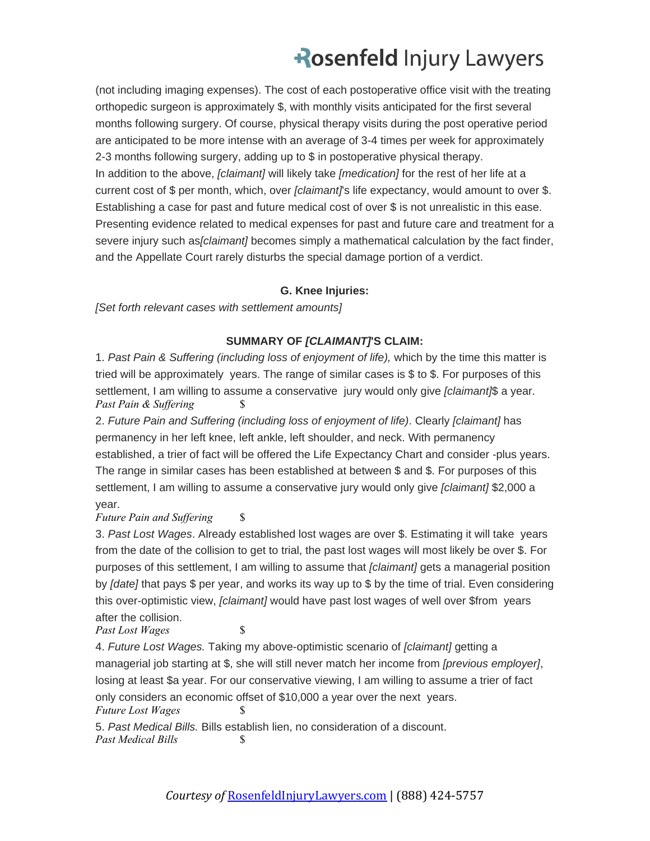(not including imaging expenses). The cost of each postoperative office visit with the treating orthopedic surgeon is approximately \$, with monthly visits anticipated for the first several months following surgery. Of course, physical therapy visits during the post operative period are anticipated to be more intense with an average of 3-4 times per week for approximately 2-3 months following surgery, adding up to \$ in postoperative physical therapy. In addition to the above, *[claimant]* will likely take *[medication]* for the rest of her life at a current cost of \$ per month, which, over *[claimant]*'s life expectancy, would amount to over \$. Establishing a case for past and future medical cost of over \$ is not unrealistic in this ease. Presenting evidence related to medical expenses for past and future care and treatment for a severe injury such as*[claimant]* becomes simply a mathematical calculation by the fact finder, and the Appellate Court rarely disturbs the special damage portion of a verdict.

#### **G. Knee Injuries:**

*[Set forth relevant cases with settlement amounts]*

#### **SUMMARY OF** *[CLAIMANT]***'S CLAIM:**

1. *Past Pain & Suffering (including loss of enjoyment of life),* which by the time this matter is tried will be approximately years. The range of similar cases is \$ to \$. For purposes of this settlement, I am willing to assume a conservative jury would only give *[claimant]*\$ a year. *Past Pain & Suffering* \$

2. *Future Pain and Suffering (including loss of enjoyment of life)*. Clearly *[claimant]* has permanency in her left knee, left ankle, left shoulder, and neck. With permanency established, a trier of fact will be offered the Life Expectancy Chart and consider -plus years. The range in similar cases has been established at between \$ and \$. For purposes of this settlement, I am willing to assume a conservative jury would only give *[claimant]* \$2,000 a year.

#### *Future Pain and Suffering* \$

3. *Past Lost Wages*. Already established lost wages are over \$. Estimating it will take years from the date of the collision to get to trial, the past lost wages will most likely be over \$. For purposes of this settlement, I am willing to assume that *[claimant]* gets a managerial position by *[date]* that pays \$ per year, and works its way up to \$ by the time of trial. Even considering this over-optimistic view, *[claimant]* would have past lost wages of well over \$from years after the collision.

*Past Lost Wages* \$

4. *Future Lost Wages.* Taking my above-optimistic scenario of *[claimant]* getting a managerial job starting at \$, she will still never match her income from *[previous employer]*, losing at least \$a year. For our conservative viewing, I am willing to assume a trier of fact only considers an economic offset of \$10,000 a year over the next years.

```
Future Lost Wages $
```
5. *Past Medical Bills.* Bills establish lien, no consideration of a discount. *Past Medical Bills* \$